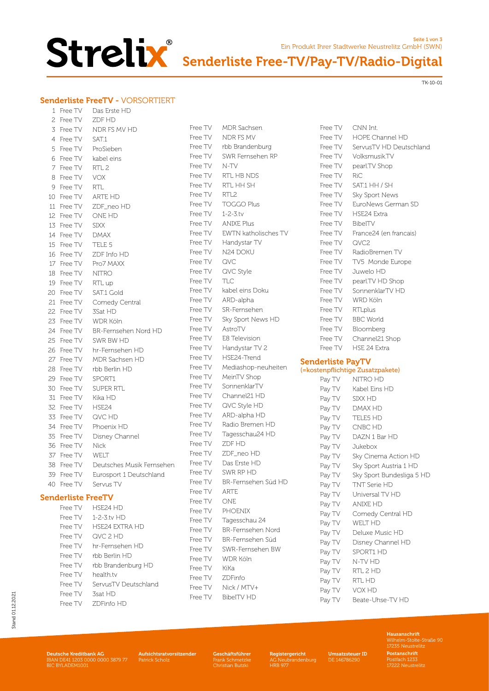

## Senderliste Free-TV/Pay-TV/Radio-Digital

TK-10-01

Seite 1 von 3

### Senderliste FreeTV - VORSORTIERT

| $\mathbf{1}$ | Free TV                   | Das Erste HD              |
|--------------|---------------------------|---------------------------|
| 2            | Free TV                   | ZDF HD                    |
|              | 3 Free TV                 | NDR FS MV HD              |
|              | 4 Free TV                 | SAT.1                     |
| 5            | Free TV                   | ProSieben                 |
| 6            | Free TV                   | kabel eins                |
|              | 7 Free TV                 | RTL <sub>2</sub>          |
|              | 8 Free TV                 | <b>VOX</b>                |
|              | 9 Free TV                 | RTL                       |
|              | 10 Free TV                | ARTE HD                   |
|              | 11 Free TV                | ZDF_neo HD                |
|              | 12 Free TV                | ONE HD                    |
|              | 13 Free TV                | <b>SIXX</b>               |
|              | 14 Free TV                | <b>DMAX</b>               |
|              | 15 Free TV                | TELE 5                    |
|              | 16 Free TV                | ZDF Info HD               |
|              | 17 Free TV                | Pro7 MAXX                 |
|              | 18 Free TV                | <b>NITRO</b>              |
|              | 19 Free TV                | RTL up                    |
|              | 20 Free TV                | SAT.1 Gold                |
|              | 21 Free TV                | Comedy Central            |
|              | 22 Free TV                | 3Sat HD                   |
|              | 23 Free TV                | WDR Köln                  |
|              | 24 Free TV                | BR-Fernsehen Nord HD      |
|              | 25 Free TV                | SWR BW HD                 |
|              | 26 Free TV                | hr-Fernsehen HD           |
|              | 27 Free TV                | MDR Sachsen HD            |
|              | 28 Free TV                | rbb Berlin HD             |
|              | 29 Free TV                | SPORT1                    |
|              | 30 Free TV                | SUPER RTL                 |
|              | 31 Free TV                | Kika HD                   |
|              | 32 Free TV                | HSE24                     |
|              | 33 Free TV                | QVC HD                    |
|              | 34 Free TV                | Phoenix HD                |
|              | 35 Free TV                | Disney Channel            |
|              | 36 Free TV                | Nick                      |
|              | 37 Free TV                | WELT                      |
|              | 38 Free TV                | Deutsches Musik Fernsehen |
|              | 39 Free TV                | Eurosport 1 Deutschland   |
|              | 40 Free TV                | Servus TV                 |
|              | <b>Senderliste FreeTV</b> |                           |

| Free TV | HSE24 HD             |
|---------|----------------------|
| Free TV | 1-2-3 tv $HD$        |
| Free TV | HSE24 EXTRA HD       |
| Free TV | QVC 2 HD             |
| Free TV | hr-Fernsehen HD      |
| Free TV | rbb Berlin HD        |
| Free TV | rbb Brandenburg HD   |
| Free TV | health tv            |
| Free TV | ServusTV Deutschland |
| Free TV | 3sat HD              |
| Free TV | ZDFinfo HD           |
|         |                      |

| Free TV | <b>MDR Sachsen</b>       |
|---------|--------------------------|
| Free TV | NDR FS MV                |
| Free TV | rbb Brandenburg          |
| Free TV | SWR Fernsehen RP         |
| Free TV | N-TV                     |
| Free TV | RTL HB NDS               |
| Free TV | RTL HH SH                |
| Free TV | RTL2                     |
| Free TV | <b>TOGGO Plus</b>        |
| Free TV | $1 - 2 - 3$ .tv          |
| Free TV | ANIXE Plus               |
| Free TV | EWTN katholisches TV     |
| Free TV | Handystar TV             |
| Free TV | N24 DOKU                 |
| Free TV | QVC                      |
| Free TV | QVC Style                |
| Free TV | TLC                      |
| Free TV | kabel eins Doku          |
| Free TV | ARD-alpha                |
|         | SR-Fernsehen             |
| Free TV |                          |
| Free TV | Sky Sport News HD        |
| Free TV | AstroTV                  |
| Free TV | E8 Television            |
| Free TV | Handystar TV 2           |
| Free TV | HSE24-Trend              |
| Free TV | Mediashop-neuheiten      |
| Free TV | MeinTV Shop              |
| Free TV | SonnenklarTV             |
| Free TV | Channel21 HD             |
| Free TV | QVC Style HD             |
| Free TV | ARD-alpha HD             |
| Free TV | Radio Bremen HD          |
| Free TV | Tagesschau24 HD          |
| Free TV | ZDF HD                   |
| Free TV | ZDF_neo HD               |
| Free TV | Das Erste HD             |
| Free TV | SWR RP HD                |
| Free TV | BR-Fernsehen Süd HD      |
| Free TV | arte                     |
| Free TV | one                      |
| Free TV | PHOENIX                  |
| Free TV | Tagesschau 24            |
| Free TV | <b>BR-Fernsehen Nord</b> |
| Free TV | BR-Fernsehen Süd         |
| Free TV | SWR-Fernsehen BW         |
| Free TV | WDR Köln                 |
| Free TV | KiKa                     |
| Free TV | ZDFinfo                  |
| Free TV | Nick / MTV+              |
| Free TV | <b>BibelTV HD</b>        |

| Free TV | CNN Int.                |
|---------|-------------------------|
| Free TV | HOPE Channel HD         |
| Free TV | ServusTV HD Deutschland |
| Free TV | Volksmusik.TV           |
| Free TV | pearl.TV Shop           |
| Free TV | RiC                     |
| Free TV | SAT.1 HH / SH           |
| Free TV | Sky Sport News          |
| Free TV | EuroNews German SD      |
| Free TV | <b>HSE24 Extra</b>      |
| Free TV | BibelTV                 |
| Free TV | France24 (en francais)  |
| Free TV | QVC2                    |
| Free TV | RadioBremen TV          |
| Free TV | TV5 Monde Europe        |
| Free TV | Juwelo HD               |
| Free TV | pearl.TV HD Shop        |
| Free TV | SonnenklarTV HD         |
| Free TV | WRD Köln                |
| Free TV | <b>RTLplus</b>          |
| Free TV | <b>BBC World</b>        |
| Free TV | Bloomberg               |
| Free TV | Channel21 Shop          |
| Free TV | HSE 24 Extra            |

Ein Produkt Ihrer Stadtwerke Neustrelitz GmbH (SWN)

### Senderliste PayTV

|  |  |  |  |  | (=kostenpflichtige Zusatzpakete) |  |
|--|--|--|--|--|----------------------------------|--|
|--|--|--|--|--|----------------------------------|--|

| Pay TV | NITRO HD                  |
|--------|---------------------------|
|        | Pay TV Kabel Eins HD      |
|        | Pay TV SIXX HD            |
|        | Pay TV DMAX HD            |
|        | Pay TV TELE5 HD           |
|        | Pay TV CNBC HD            |
|        | Pay TV DAZN 1 Bar HD      |
|        | Pay TV Jukebox            |
| Pay TV | Sky Cinema Action HD      |
| Pay TV | Sky Sport Austria 1 HD    |
| Pay TV | Sky Sport Bundesliga 5 HD |
| Pay TV | TNT Serie HD              |
|        | Pay TV Universal TV HD    |
|        | Pay TV ANIXE HD           |
|        | Pay TV Comedy Central HD  |
|        | Pay TV WELT HD            |
| Pay TV | Deluxe Music HD           |
|        | Pay TV Disney Channel HD  |
|        | Pay TV SPORT1 HD          |
|        | Pay TV    N-TV HD         |
|        | Pay TV RTL 2 HD           |
|        | Pay TV RTL HD             |
|        | Pay TV VOX HD             |
| Pay TV | Beate-Uhse-TV HD          |

Aufsichtsratvorsitzender Patrick Scholz Deutsche Kreditbank AG IBAN DE41 1203 0000 0000 3879 77 BIC BYLADEM1001

Geschäftsführer Frank Schmetzke Christian Butzki

Registergericht AG Neubrandenburg HRB 977

Umsatzsteuer ID DE 146786290

Hausanschrift Wilhelm-Stolte-Straße 90 17235 Neustrelitz Postanschrift Postfach 1233 17222 Neustrelitz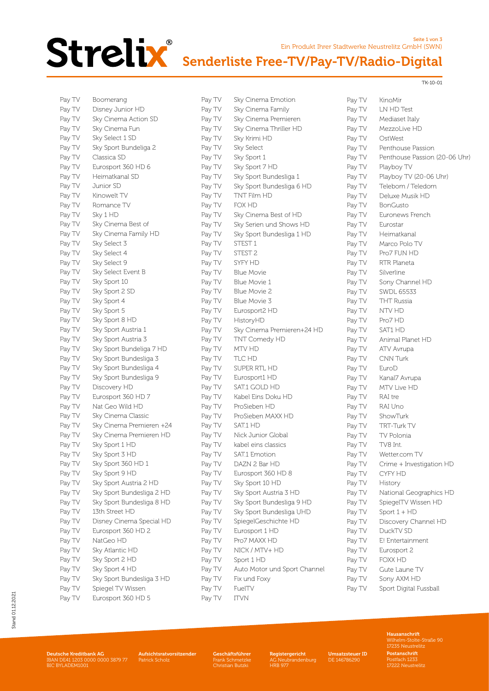

### Ein Produkt Ihrer Stadtwerke Neustrelitz GmbH (SWN) Senderliste Free-TV/Pay-TV/Radio-Digital

TK-10-01

Pay TV KinoMir

Pay TV LN HD Test<br>Pay TV Mediaset Ita

Pay TV Playboy TV

Pay TV Eurostar Pay TV Heimatkanal Pay TV Marco Polo TV Pay TV Pro7 FUN HD Pay TV RTR Planeta Pay TV Silverline Pay TV Sony Channel HD Pay TV SWDL 65533 Pay TV THT Russia Pay TV NTV HD Pay TV Pro7 HD Pay TV SAT1 HD

Pay TV Animal Planet HD Pay TV ATV Avrupa Pay TV CNN Turk Pay TV EuroD Pay TV Kanal7 Avrupa Pay TV MTV Live HD Pay TV RAI tre Pay TV RAI Uno Pay TV ShowTurk Pay TV TRT-Turk TV Pay TV TV Polonia Pay TV TV8 Int. Pay TV Wetter.com TV

Pay TV MezzoLive HD Pay TV OstWest

Pay TV Penthouse Passion

Pay TV Playboy TV (20-06 Uhr) Pay TV Telebom / Teledom Pay TV Deluxe Musik HD Pay TV BonGusto Pay TV Euronews French

Mediaset Italy

Pay TV Penthouse Passion (20-06 Uhr)

Seite 1 von 3

| Pay TV | Boomerang                 |
|--------|---------------------------|
| Pay TV | Disney Junior HD          |
| Pay TV | Sky Cinema Action SD      |
| Pay TV | Sky Cinema Fun            |
| Pay TV | Sky Select 1 SD           |
| Pay TV | Sky Sport Bundeliga 2     |
| Pay TV | Classica SD               |
| Pay TV | Eurosport 360 HD 6        |
| Pay TV | Heimatkanal SD            |
| Pay TV | Junior SD                 |
| Pay TV | Kinowelt TV               |
| Pay TV | Romance TV                |
| Pay TV | Sky 1 HD                  |
| Pay TV | Sky Cinema Best of        |
| Pay TV | Sky Cinema Family HD      |
| Pay TV | Sky Select 3              |
| Pay TV | Sky Select 4              |
| Pay TV | Sky Select 9              |
| Pay TV | Sky Select Event B        |
| Pay TV | Sky Sport 10              |
| Pay TV | Sky Sport 2 SD            |
| Pay TV | Sky Sport 4               |
| Pay TV | Sky Sport 5               |
| Pay TV | Sky Sport 8 HD            |
| Pay TV | Sky Sport Austria 1       |
| Pay TV | Sky Sport Austria 3       |
| Pay TV | Sky Sport Bundeliga 7 HD  |
| Pay TV | Sky Sport Bundesliga 3    |
| Pay TV | Sky Sport Bundesliga 4    |
| Pay TV | Sky Sport Bundesliga 9    |
| Pay TV | Discovery HD              |
| Pay TV | Eurosport 360 HD 7        |
| Pay TV | Nat Geo Wild HD           |
| Pay TV | Sky Cinema Classic        |
| Pay TV | Sky Cinema Premieren +24  |
| Pay TV | Sky Cinema Premieren HD   |
| Pay TV | Sky Sport 1 HD            |
| Pay TV | Sky Sport 3 HD            |
| Pay TV | Sky Sport 360 HD 1        |
| Pay TV | Sky Sport 9 HD            |
| Pay TV | Sky Sport Austria 2 HD    |
| Pay TV | Sky Sport Bundesliga 2 HD |
| Pay TV | Sky Sport Bundesliga 8 HD |
| Pay TV | 13th Street HD            |
| Pay TV | Disney Cinema Special HD  |
| Pay TV | Eurosport 360 HD 2        |
| Pay TV | NatGeo HD                 |
| Pay TV | Sky Atlantic HD           |
| Pay TV | Sky Sport 2 HD            |
| Pay TV | Sky Sport 4 HD            |
| Pay TV | Sky Sport Bundesliga 3 HD |
| Pay TV | Spiegel TV Wissen         |
| Pay TV | Eurosport 360 HD 5        |
|        |                           |

Pay TV Sky Cinema Emotion Pay TV Sky Cinema Family Pay TV Sky Cinema Premieren Pay TV Sky Cinema Thriller HD Pay TV Sky Krimi HD Pay TV Sky Select<br>Pay TV Sky Sport 1 Sky Sport 1 Pay TV Sky Sport 7 HD Pay TV Sky Sport Bundesliga 1 Pay TV Sky Sport Bundesliga 6 HD Pay TV TNT Film HD Pay TV FOX HD Pay TV Sky Cinema Best of HD Pay TV Sky Serien und Shows HD Pay TV Sky Sport Bundesliga 1 HD Pay TV STEST 1 Pay TV STEST 2 Pay TV SYFY HD Pay TV Blue Movie Pay TV Blue Movie 1 Pay TV Blue Movie 2 Pay TV Blue Movie 3 Pay TV Eurosport2 HD Pay TV HistoryHD Pay TV Sky Cinema Premieren+24 HD Pay TV TNT Comedy HD Pay TV MTV HD Pay TV TLC HD Pay TV SUPER RTL HD Pay TV Eurosport1 HD Pay TV SAT.1 GOLD HD Pay TV Kabel Eins Doku HD Pay TV ProSieben HD Pay TV ProSieben MAXX HD Pay TV SAT.1 HD Pay TV Nick Junior Global Pay TV kabel eins classics Pay TV SAT.1 Emotion Pay TV DAZN 2 Bar HD Pay TV Eurosport 360 HD 8 Pay TV Sky Sport 10 HD Pay TV Sky Sport Austria 3 HD Pay TV Sky Sport Bundesliga 9 HD Pay TV Sky Sport Bundesliga UHD Pay TV SpiegelGeschichte HD Pay TV Eurosport 1 HD Pay TV Pro7 MAXX HD Pay TV NICK / MTV+ HD Pay TV Sport 1 HD Pay TV Auto Motor und Sport Channel Pay TV Fix und Foxy Pay TV FuelTV Pay TV ITVN

# Pay TV Sport Digital Fussball

Pav TV Crime + Investigation HD

Pay TV National Geographics HD Pay TV SpiegelTV Wissen HD Pay  $TV$  Sport  $1 + HD$ 

Pay TV Discovery Channel HD

Pay TV CYFY HD Pay TV History

Pay TV DuckTV SD Pay TV E! Entertainment Pay TV Eurosport 2 Pay TV FOXX HD Pay TV Gute Laune TV Pay TV Sony AXM HD

> Hausanschrift Wilhelm-Stolte-Straße 90 17235 Neustrelitz Postanschrift Postfach 1233 17222 Neustrelitz

Geschäftsführer Frank Schmetzke Christian Butzki

Aufsichtsratvorsitzender Patrick Scholz

**Deutsche Kreditbank AG**<br>IBAN DE41 1203 0000 0000 3879 77<br>BIC BYLADEM1001

Registergericht  $and <sub>en</sub>$ burg

HRB 977

Umsatzsteuer ID DE 146786290